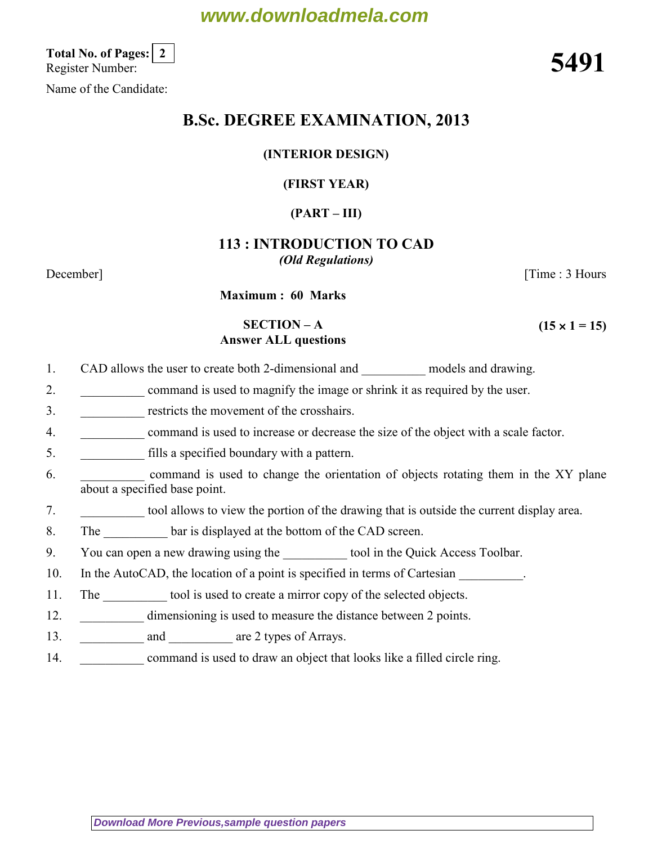# **www.downloadmela.com**

Total No. of Pages: 2<br>Register Number: Total No. of Pages: [2]<br>Register Number: 5491

Name of the Candidate:

# B.Sc. DEGREE EXAMINATION, 2013

## (INTERIOR DESIGN)

# (FIRST YEAR)

# $(PART - III)$

# 113 : INTRODUCTION TO CAD (Old Regulations)

December] [Time : 3 Hours

 $(15 \times 1 = 15)$ 

Maximum : 60 Marks

## SECTION – A Answer ALL questions

- 1. CAD allows the user to create both 2-dimensional and models and drawing.
- 2. command is used to magnify the image or shrink it as required by the user.
- 3. The restricts the movement of the crosshairs.
- 4. \_\_\_\_\_\_\_\_\_\_ command is used to increase or decrease the size of the object with a scale factor.
- 5. \_\_\_\_\_\_\_\_\_\_ fills a specified boundary with a pattern.
- 6. command is used to change the orientation of objects rotating them in the XY plane about a specified base point.
- 7. \_\_\_\_\_\_\_\_\_\_ tool allows to view the portion of the drawing that is outside the current display area.
- 8. The bar is displayed at the bottom of the CAD screen.
- 9. You can open a new drawing using the tool in the Quick Access Toolbar.
- 10. In the AutoCAD, the location of a point is specified in terms of Cartesian
- 11. The tool is used to create a mirror copy of the selected objects.
- 12. **dimensioning is used to measure the distance between 2 points.**
- 13. **and are 2 types of Arrays.**
- 14. command is used to draw an object that looks like a filled circle ring.